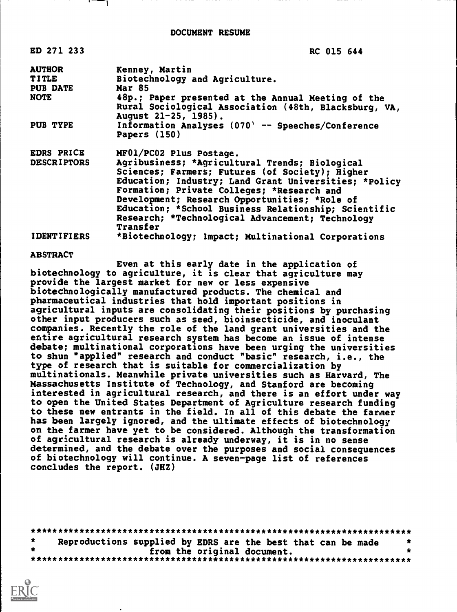| ED 271 233         | RC 015 644                                                                                                                          |  |
|--------------------|-------------------------------------------------------------------------------------------------------------------------------------|--|
| <b>AUTHOR</b>      | Kenney, Martin                                                                                                                      |  |
| <b>TITLE</b>       | Biotechnology and Agriculture.                                                                                                      |  |
| <b>PUB DATE</b>    | <b>Mar 85</b>                                                                                                                       |  |
| <b>NOTE</b>        | 48p.; Paper presented at the Annual Meeting of the<br>Rural Sociological Association (48th, Blacksburg, VA,<br>August 21-25, 1985). |  |
| PUB TYPE           | Information Analyses $(070)$ -- Speeches/Conference<br>Papers (150)                                                                 |  |
| EDRS PRICE         | MF01/PC02 Plus Postage.                                                                                                             |  |
| <b>DESCRIPTORS</b> | Agribusiness; *Agricultural Trends; Biological                                                                                      |  |
|                    | Sciences; Farmers; Futures (of Society); Higher                                                                                     |  |
|                    | Education; Industry; Land Grant Universities; *Policy                                                                               |  |
|                    | Formation; Private Colleges; *Research and                                                                                          |  |
|                    | Development; Research Opportunities; *Role of                                                                                       |  |
|                    | Education; *School Business Relationship; Scientific                                                                                |  |
|                    | Research; *Technological Advancement; Technology<br>Transfer                                                                        |  |
| <b>IDENTIFIERS</b> | *Biotechnology; Impact; Multinational Corporations                                                                                  |  |

#### ABSTRACT

Even at this early date in the application of biotechnology to agriculture, it is clear that agriculture may provide the largest market for new or less expensive biotechnologically manufactured products. The chemical and pharmaceutical industries that hold important positions in agricultural inputs are consolidating their positions by purchasing other input producers such as seed, bioinsecticide, and inoculant companies. Recently the role of the land grant universities and the entire agricultural research system has become an issue of intense debate; multinational corporations have been urging the universities to shun "applied" research and conduct "basic" research, i.e., the type of research that is suitable for commercialization by multinationals. Meanwhile private universities such as Harvard, The Massachusetts Institute of Technology, and Stanford are becoming interested in agricultural research, and there is an effort under way to open the United States Department of Agriculture research funding to these new entrants in the field. In all of this debate the fanner has been largely ignored, and the ultimate effects of biotechnology on the farmer have yet to be considered. Although the transformation of agricultural research is already underway, it is in no sense determined, and the debate over the purposes and social consequences of biotechnology will continue. A seven-page list of references concludes the report. (JHZ)

|  | Reproductions supplied by EDRS are the best that can be made |  |  |                             |  |  |  |  |
|--|--------------------------------------------------------------|--|--|-----------------------------|--|--|--|--|
|  |                                                              |  |  | from the original document. |  |  |  |  |
|  |                                                              |  |  |                             |  |  |  |  |

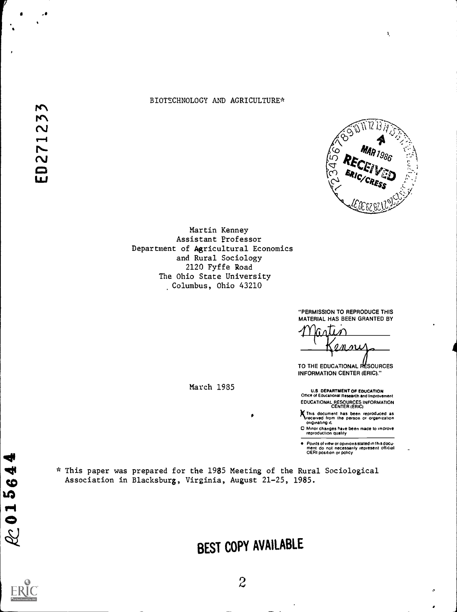## BIOTECHNOLOGY AND AGRICULTURE\*



÷,

Martin Kenney Assistant Professor Department of Agricultural Economics and Rural Sociology 2120 Fyffe Road The Ohio State University Columbus, Ohio 43210

> "PERMISSION TO REPRODUCE THIS MATERIAL HAS BEEN GRANTED BY

TO THE EDUCATIONAL RESOURCES INFORMATION CENTER (ERIC)."

U.S DEPARTMENT OF EDUCATION Office of Educational Research and Improvement EDUCATIONAL RESOURCES INFORMATION CENTER (ERIC)

This document has been reproduced as<br>Ireceived from the person or organization<br>originating it.

O Minor changes have been made to improve reproduction quality

Points of view or opinionsstated in this docu- ment do not necessarily represent official OERI position or policy

\* This paper was prepared for the 1985 Meeting of the Rural Sociological<br>Association in Blacksburg, Virginia, August 21-25, 1985.<br>
10 Association in Blacksburg, Virginia, August 21-25, 1985.

March 1935

BEST COPY AVAILABLE

4  $\blacksquare$  $\mathcal{C}$  .

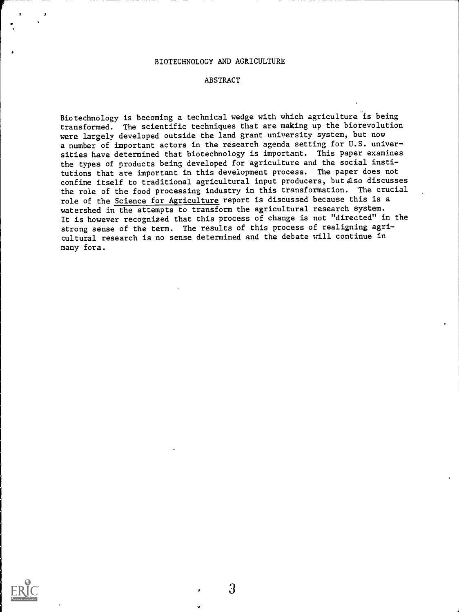#### BIOTECHNOLOGY AND AGRICULTURE

#### ABSTRACT

Biotechnology is becoming a technical wedge with which agriculture is being transformed. The scientific techniques that are making up the biorevolution were largely developed outside the land grant university system, but now a number of important actors in the research agenda setting for U.S. universities have determined that biotechnology is important. This paper examines the types of products being developed for agriculture and the social institutions that are important in this development process. The paper does not confine itself to traditional agricultural input producers, but also discusses the role of the food processing industry in this transformation. The crucial role of the Science for Agriculture report is discussed because this is a watershed in the attempts to transform the agricultural research system. It is however recognized that this process of change is not "directed" in the strong sense of the term. The results of this process of realigning agricultural research is no sense determined and the debate will continue in many fora.

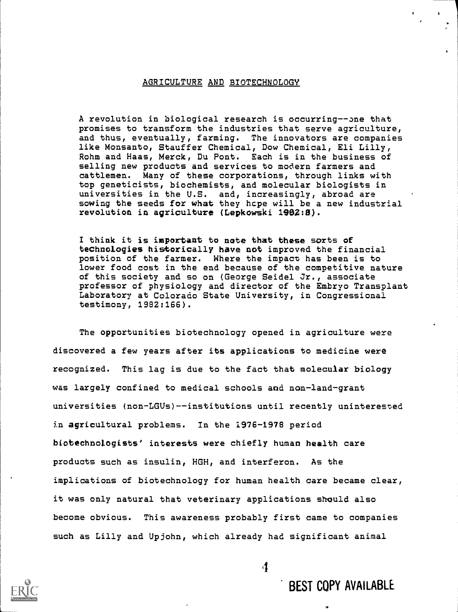## AGRICULTURE AND BIOTECHNOLOGY

A revolution in biological research is occurring--one that promises to transform the industries that serve agriculture, and thus, eventually, farming. The innovators are companies like Monsanto, Stauffer Chemical, Dow Chemical, Eli Lilly, Rohm and Haas, Merck, Du Pont. Each is in the business of selling new products and services to modern farmers and cattlemen. Many of these corporations, through links with top geneticists, biochemists, and molecular biologists in universities in the U.S. and, increasingly, abroad are sowing the seeds for what they hcpe will be a new industrial revolution in agriculture (Lepkowski 1982:8).

I think it is important to note that these sorts of technologies historically have not improved the financial position of the farmer. Where the impact has been is to lower food cost in the end because of the competitive nature of this society and so on (George Seidel Jr., associate professor of physiology and director of the Embryo Transplant Laboratory at Colorado State University, in Congressional testimony, 1982:166).

The opportunities biotechnology opened in agriculture were discovered a few years after its applications to medicine were recognized. This lag is due to the fact that molecular biology was largely confined to medical schools and non-land-grant universities (non-LGUs)--institutions until recently uninterested in agricultural problems. In the 1976-1978 period biotechnologists' interests were chiefly human health care products such as insulin, HGH, and interferon. As the implications of biotechnology for human health care became clear, it was only natural that veterinary applications should also become obvious. This awareness probably first came to companies such as Lilly and Upjohn, which already had significant animal



BEST COPY AVAILABLE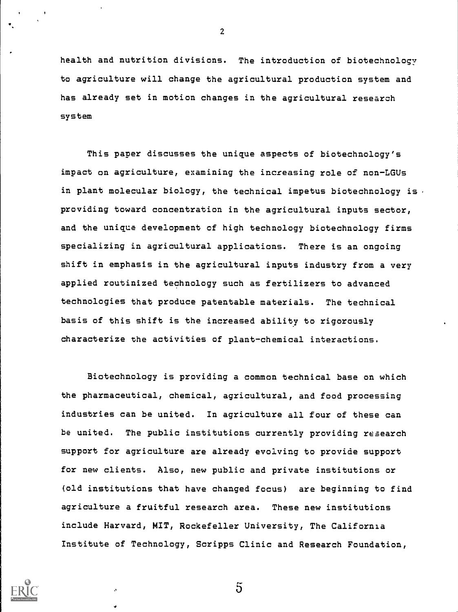health and nutrition divisions. The introduction of biotechnology to agriculture will change the agricultural production system and has already set in motion changes in the agricultural research system

2

This paper discusses the unique aspects of biotechnology's impact on agriculture, examining the increasing role of non-LGUs in plant molecular biology, the technical impetus biotechnology is  $\cdot$ providing toward concentration in the agricultural inputs sector, and the unique development of high technology biotechnology firms specializing in agricultural applications. There is an ongoing shift in emphasis in the agricultural inputs industry from a very applied routinized technology such as fertilizers to advanced technologies that produce patentable materials. The technical basis of this shift is the increased ability to rigorously characterize the activities of plant-chemical interactions.

Biotechnology is providing a common technical base on which the pharmaceutical, chemical, agricultural, and food processing industries can be united. In agriculture all four of these can be united. The public institutions currently providing research support for agriculture are already evolving to provide support for new clients. Also, new public and private institutions or (old institutions that have changed focus) are beginning to find agriculture a fruitful research area. These new institutions include Harvard, MIT, Rockefeller University, The California Institute of Technology, Scripps Clinic and Research Foundation,



 $\overline{5}$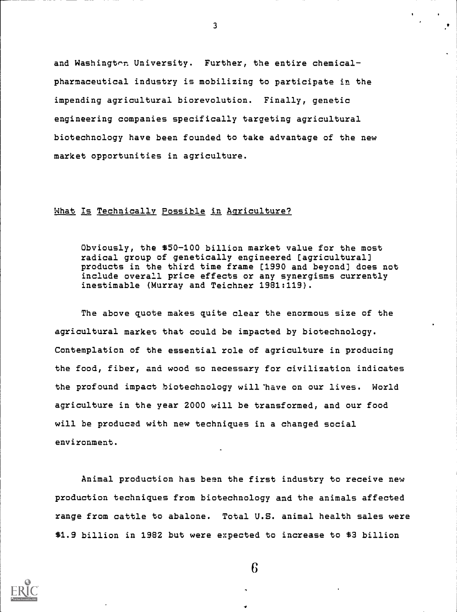and Washington University. Further, the entire chemicalpharmaceutical industry is mobilizing to participate in the impending agricultural biorevolution. Finally, genetic engineering companies specifically targeting agricultural biotechnology have been founded to take advantage of the new market opportunities in agriculture.

## What Is Technically Possible in Agriculture?

Obviously, the \$50-100 billion market value for the most radical group of genetically engineered [agricultural] products in the third time frame [1990 and beyond] does not include overall price effects or any synergisms currently inestimable (Murray and Teichner 1981:119).

The above quote makes quite clear the enormous size of the agricultural market that could be impacted by biotechnology. Contemplation of the essential role of agriculture in producing the food, fiber, and wood so necessary for civilization indicates the profound impact biotechnology will 'have on our lives. World agriculture in the year 2000 will be transformed, and our food will be produced with new techniques in a changed social environment.

Animal production has been the first industry to receive new production techniques from biotechnology and the animals affected range from cattle to abalone. Total U.S. animal health sales were \$1.9 billion in 1982 but were expected to increase to \$3 billion



3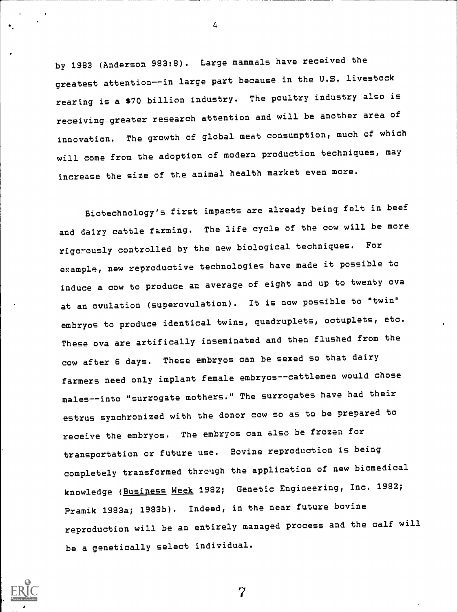by 1983 (Anderson 983:8). Large mammals have received the greatest attention--in large part because in the U.S. livestock rearing is a \$70 billion industry. The poultry industry also is receiving greater research attention and will be another area of innovation. The growth of global meat consumption, much of which will come from the adoption of modern production techniques, may increase the size of the animal health market even more.

Biotechnology's first impacts are already being felt in beef and dairy cattle farming. The life cycle of the cow will be more rigorously controlled by the new biological techniques. For example, new reproductive technologies have made it possible to induce a cow to produce an average of eight and up to twenty ova at an ovulation (superovulation). It is now possible to "twin" embryos to produce identical twins, quadruplets, octuplets, etc. These ova are artifically inseminated and then flushed from the cow after 6 days. These embryos can be sexed so that dairy farmers need only implant female embryos--cattlemen would chose males--into "surrogate mothers." The surrogates have had their estrus synchronized with the donor cow so as to be prepared to receive the embryos. The embryos can also be frozen for transportation or future use. Bovine reproduction is being completely transformed thro'igh the application of new biomedical knowledge (Business Week 1982; Genetic Engineering, Inc. 1982; Pramik 1983a; 1983b). Indeed, in the near future bovine reproduction will be an entirely managed process and the calf will be a genetically select individual.



4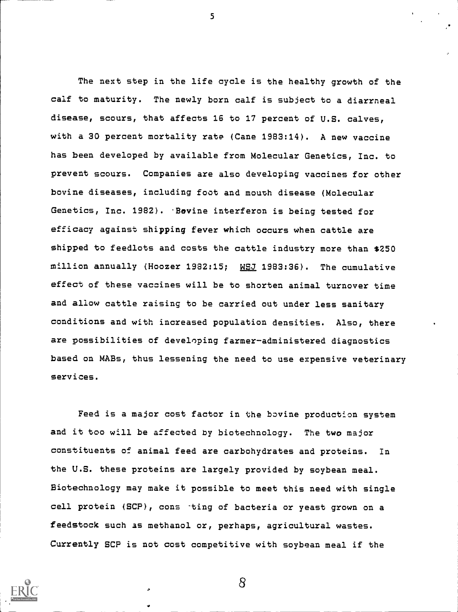The next step in the life cycle is the healthy growth of the calf to maturity. The newly born calf is subject to a diarrneal disease, scours, that affects 16 to 17 percent of U.S. calves, with a 30 percent mortality rate (Cane 1983:14). A new vaccine has been developed by available from Molecular Genetics, Inc. to prevent scours. Companies are also developing vaccines for other bovine diseases, including foot and mouth disease (Molecular Genetics, Inc. 1982). Bovine interferon is being tested for efficacy against shipping fever which occurs when cattle are shipped to feedlots and costs the cattle industry more than \$250 million annually (Hoozer 1982:15; WSJ 1983:36). The cumulative effect of these vaccines will be to shorten animal turnover time and allow cattle raising to be carried out under less sanitary conditions and with increased population densities. Also, there are possibilities of developing farmer-administered diagnostics based on MABs, thus lessening the need to use expensive veterinary services.

5

Feed is a major cost factor in the bovine production system and it too will be affected by biotechnology. The two major constituents of animal feed are carbohydrates and proteins. In the U.S. these proteins are largely provided by soybean meal. Biotechnology may make it possible to meet this need with single cell protein (SCP), cons -ting of bacteria or yeast grown on a feedstock such as methanol or, perhaps, agricultural wastes. Currently SCP is not cost competitive with soybean meal if the

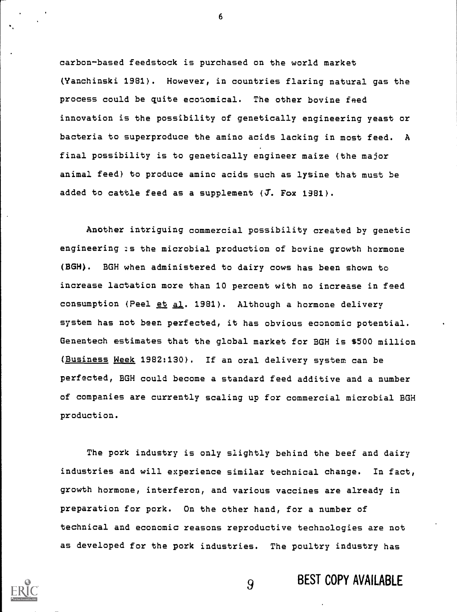carbon-based feedstock is purchased on the world market (Yanchinski 1981). However, in countries flaring natural gas the process could be quite economical. The other bovine feed innovation is the possibility of genetically engineering yeast or bacteria to superproduce the amino acids lacking in most feed. A final possibility is to genetically engineer maize (the major animal feed) to produce amino acids such as lysine that must be added to cattle feed as a supplement  $(J. For 1981)$ .

Another intriguing commercial possibility created by genetic engineering :s the microbial production of bovine growth hormone (BGH). BGH when administered to dairy cows has been shown to increase lactation more than 10 percent with no increase in feed consumption (Peel et al. 1981). Although a hormone delivery system has not been perfected, it has obvious economic potential. Genentech estimates that the global market for BGH is \$500 million (Business Week 1982:130). If an oral delivery system can be perfected, BGH could become a standard feed additive and a number of companies are currently scaling up for commercial microbial BGH production.

The pork industry is only slightly behind the beef and dairy industries and will experience similar technical change. In fact, growth hormone, interferon, and various vaccines are already in preparation for pork. On the other hand, for a number of technical and economic reasons reproductive technologies are not as developed for the pork industries. The poultry industry has



9 BEST COPY AVAILABLE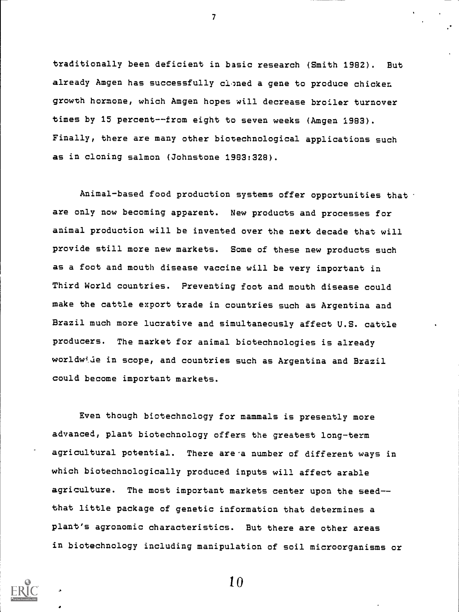traditionally been deficient in basic research (Smith 1982). But already Amgen has successfully cloned a gene to produce chicken growth hormone, which Amgen hopes will decrease broiler turnover times by 15 percent--from eight to seven weeks (Amgen 1983). Finally, there are many other biotechnological applications such as in cloning salmon (Johnstone 1983:328).

 $\mathcal{T}$  and  $\mathcal{T}$ 

Animal-based food production systems offer opportunities that are only now becoming apparent. New products and processes for animal production will be invented over the next decade that will provide still more new markets. Some of these new products such as a foot and mouth disease vaccine will be very important in Third World countries. Preventing foot and mouth disease could make the cattle export trade in countries such as Argentina and Brazil much more lucrative and simultaneously affect U.S. cattle producers. The market for animal biotechnologies is already worldwide in scope, and countries such as Argentina and Brazil could become important markets.

Even though biotechnology for mammals is presently more advanced, plant biotechnology offers the greatest long-term agricultural potential. There are a number of different ways in which biotechnologically produced inputs will affect arable agriculture. The most important markets center upon the seed-that little package of genetic information that determines a plant's agronomic characteristics. But there are other areas in biotechnology including manipulation of soil microorganisms or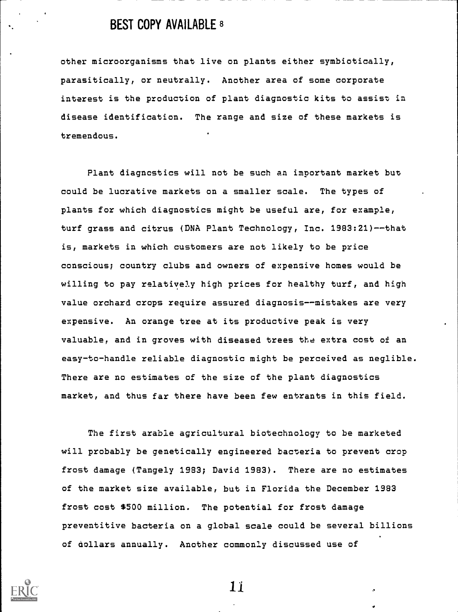# BEST COPY AVAILABLE <sup>8</sup>

other microorganisms that live on plants either symbiotically, parasitically, or neutrally. Another area of some corporate interest is the production of plant diagnostic kits to assist in disease identification. The range and size of these markets is tremendous.

Plant diagnostics will not be such an important market but could be lucrative markets on a smaller scale. The types of plants for which diagnostics might be useful are, for example, turf grass and citrus (DNA Plant Technology, Inc. 1983:21)--that is, markets in which customers are not likely to be price conscious; country clubs and owners of expensive homes would be willing to pay relatively high prices for healthy turf, and high value orchard crops require assured diagnosis--mistakes are very expensive. An orange tree at its productive peak is very valuable, and in groves with diseased trees the extra cost of an easy-to-handle reliable diagnostic might be perceived as neglible. There are no estimates of the size of the plant diagnostics market, and thus far there have been few entrants in this field.

The first arable agricultural biotechnology to be marketed will probably be genetically engineered bacteria to prevent crop frost damage (Tangely 1983; David 1983). There are no estimates of the market size available, but in Florida the December 1983 frost cost \$500 million. The potential for frost damage preventitive bacteria on a global scale could be several billions of dollars annually. Another commonly discussed use of

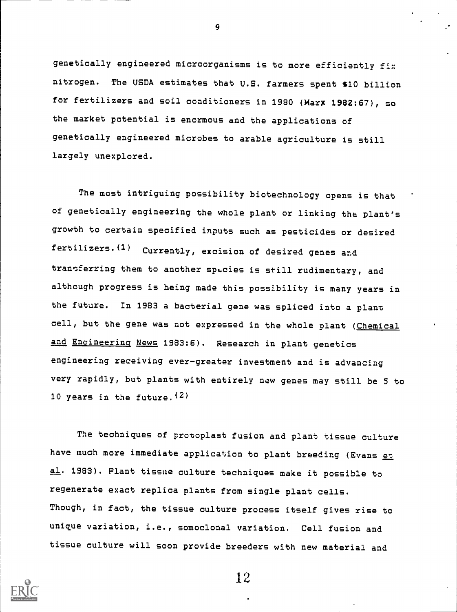genetically engineered microorganisms is to more efficiently fi:: nitrogen. The USDA estimates that U.S. farmers spent \$10 billion for fertilizers and soil conditioners in 1980 (Marx 1982:67), so the market potential is enormous and the applications of genetically engineered microbes to arable agriculture is still largely unexplored.

The most intriguing possibility biotechnology opens is that of genetically engineering the whole plant or linking the plant's growth to certain specified inputs such as pesticides or desired fertilizers.(1) Currently, excision of desired genes and transferring them to another species is still rudimentary, and although progress is being made this possibility is many years in the future. In 1983 a bacterial gene was spliced into a plant cell, but the gene was not expressed in the whole plant (Chemical and Engineering News 1983:6). Research in plant genetics engineering receiving ever-greater investment and is advancing very rapidly, but plants with entirely new genes may still be 5 to 10 years in the future.  $(2)$ 

The techniques of protoplast fusion and plant tissue culture have much more immediate application to plant breeding (Evans et al. 1983). Plant tissue culture techniques make it possible to regenerate exact replica plants from single plant cells. Though, in fact, the tissue culture process itself gives rise to unique variation, i.e., somoclonal variation. Cell fusion and tissue culture will soon provide breeders with new material and



12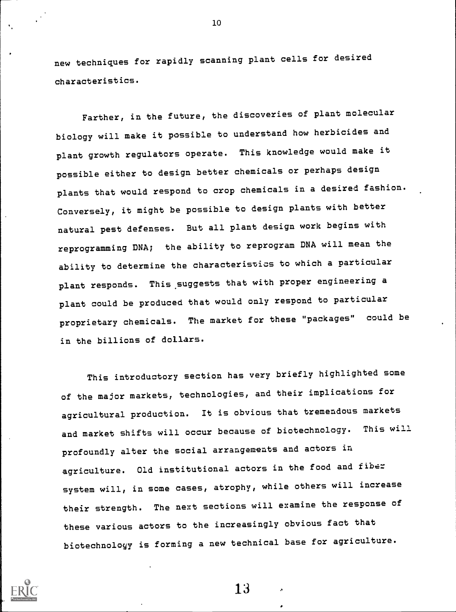new techniques for rapidly scanning plant cells for desired characteristics.

10

Farther, in the future, the discoveries of plant molecular biology will make it possible to understand how herbicides and plant growth regulators operate. This knowledge would make it possible either to design better chemicals or perhaps design plants that would respond to crop chemicals in a desired fashion. Conversely, it might be possible to design plants with better natural pest defenses. But all plant design work begins with reprogramming DNA; the ability to reprogram DNA will mean the ability to determine the characteristics to which a particular plant responds. This suggests that with proper engineering a plant could be produced that would only respond to particular proprietary chemicals. The market for these "packages" could be in the billions of dollars.

This introductory section has very briefly highlighted some of the major markets, technologies, and their implications for agricultural production. It is obvious that tremendous markets and market shifts will occur because of biotechnology. This will profoundly alter the social arrangements and actors in agriculture. Old institutional actors in the food and fiber system will, in some cases, atrophy, while others will increase their strength. The next sections will examine the response of these various actors to the increasingly obvious fact that biotechnology is forming a new technical base for agriculture.

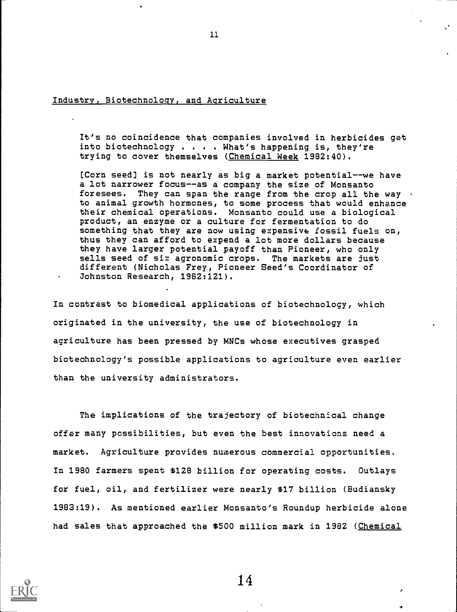Industry, Biotechnology, and Agriculture

It's no coincidence that companies involved in herbicides get into biotechnology . . . . What's happening is, they're trying to cover themselves (Chemical Week 1982:40).

11

[Corn seed] is not nearly as big a market potential--we have a lot narrower focus--as a company the size of Monsanto foresees. They can span the range from the crop all the way  $\cdot$ to animal growth hormones, to some process that would enhance their chemical operations. Monsanto could use a biological product, an enzyme or a culture for fermentation to do something that they are now using expensive fossil fuels on, thus they can afford to expend a lot more dollars because they have larger potential payoff than Pioneer, who only sells seed of six agronomic crops. The markets are just different (Nicholas Frey, Pioneer Seed's Coordinator of Johnston Research, 1982:121).

In contrast to biomedical applications of biotechnology, which originated in the university, the use of biotechnology in agriculture has been pressed by MNCs whose executives grasped biotechnology's possible applications to agriculture even earlier than the university administrators.

The implications of the trajectory of biotechnical change offer many possibilities, but even the best innovations need a market. Agriculture provides numerous commercial opportunities. In 1980 farmers spent \$128 billion for operating costs. Outlays for fuel, oil, and fertilizer were nearly \$17 billion (Budiansky 1983:19). As mentioned earlier Monsanto's Roundup herbicide alone had sales that approached the \$500 million mark in 1982 (Chemical

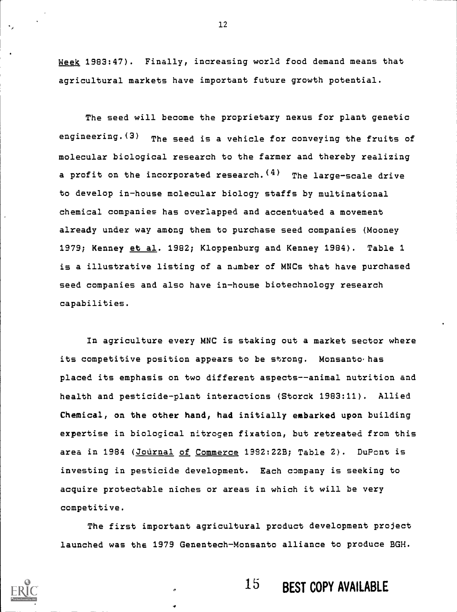Week 1983:47). Finally, increasing world food demand means that agricultural markets have important future growth potential.

The seed will become the proprietary nexus for plant genetic engineering. $(3)$  The seed is a vehicle for conveying the fruits of molecular biological research to the farmer and thereby realizing a profit on the incorporated research.  $(4)$  The large-scale drive to develop in-house molecular biology staffs by multinational chemical companies has overlapped and accentuated a movement already under way among them to purchase seed companies (Mooney 1979; Kenney et al. 1982; Kloppenburg and Kenney 1984). Table 1 is a illustrative listing of a number of MNCs that have purchased seed companies and also have in-house biotechnology research capabilities.

In agriculture every MNC is staking out a market sector where its competitive position appears to be strong. Monsanto has placed its emphasis on two different aspects--animal nutrition and health and pesticide-plant interactions (Storck 1983:11). Allied Chemical, on the other hand, had initially embarked upon building expertise in biological nitrogen fixation, but retreated from this area in 1984 (Journal of Commerce 1992:22B; Table 2). DuPont is investing in pesticide development. Each company is seeking to acquire protectable niches or areas in which it will be very competitive.

The first important agricultural product development project launched was the 1979 Genentech-Monsanto alliance to produce BGH.



15 BEST COPY AVAILABLE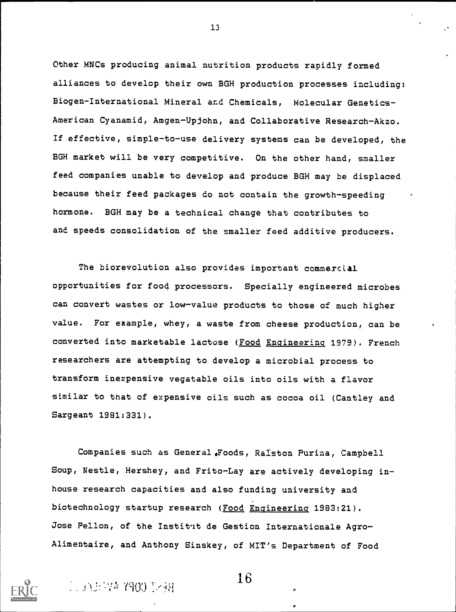Other MNCs producing animal nutrition products rapidly formed alliances to develop their own BGH production processes including: Biogen-International Mineral and Chemicals, Molecular Genetics-American Cyanamid, Amgen-Upjohn, and Collaborative Research-Akzo. If effective, simple-to-use delivery systems can be developed, the BGH market will be very competitive. On the other hand, smaller feed companies unable to develop and produce BGH may be displaced because their feed packages do not contain the growth-speeding hormone. BGH may be a technical change that contributes to and speeds consolidation of the smaller feed additive producers.

The biorevolution also provides important commercial opportunities for food processors. Specially engineered microbes can convert wastes or low-value products to those of much higher value. For example, whey, a waste from cheese production, can be converted into marketable lactose (Food Engineering 1979). French researchers are attempting to develop a microbial process to transform inexpensive vegatable oils into oils with a flavor similar to that of expensive oils such as cocoa oil (Cantley and Sargeant 1981:331).

Companies such as General Foods, Ralston Purina, Campbell Soup, Nestle, Hershey, and Frito-Lay are actively developing inhouse research capacities and also funding university and biotechnology startup research (Food Engineering 1983:21). Jose Pellon, of the Institut de Gestion Internationale Agro-Alimentaire, and Anthony Sinskey, of MIT's Department of Food



. 4  $\pm$  4  $\pm$  4  $\pm$  4  $\pm$  4  $\pm$  16  $\pm$  4  $\pm$  16  $\pm$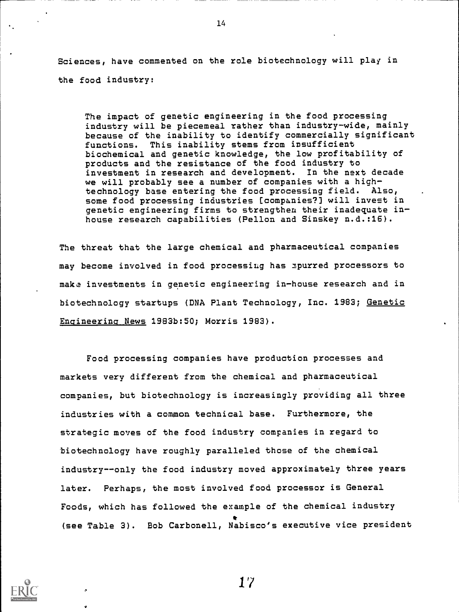Sciences, have commented on the role biotechnology will play in the food industry:

The impact of genetic engineering in the food processing industry will be piecemeal rather than industry-wide, mainly because of the inability to identify commercially significant functions. This inability stems from insufficient biochemical and genetic knowledge, the low profitability of products and the resistance of the food industry to investment in research and development. In the next decade we will probably see a number of companies with a hightechnology base entering the food processing field. Also, some food processing industries [companies?] will invest in genetic engineering firms to strengthen their inadequate inhouse research capabilities (Pellon and Sinskey n.d.:15).

The threat that the large chemical and pharmaceutical companies may become involved in food processing has Spurred processors to make investments in genetic engineering in-house research and in biotechnology startups (DNA Plant Technology, Inc. 1983; Genetic Engineering News 1983b:50; Morris 1983).

Food processing companies have production processes and markets very different from the chemical and pharmaceutical companies, but biotechnology is increasingly providing all three industries with a common technical base. Furthermore, the strategic moves of the food industry companies in regard to biotechnology have roughly paralleled those of the chemical industry--only the food industry moved approximately three years later. Perhaps, the most involved food processor is General Foods, which has followed the example of the chemical industry \* (see Table 3). Bob Carbonell, Nabisco's executive vice president



14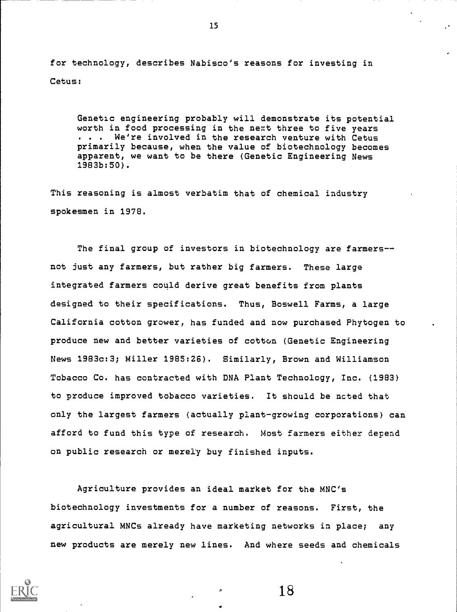for technology, describes Nabisco's reasons for investing in Cetus:

Genetic engineering probably will demonstrate its potential worth in food processing in the next three to five years . . . We're involved in the research venture with Cetus primarily because, when the value of biotechnology becomes apparent, we want to be there (Genetic Engineering News 1983b:50).

This reasoning is almost verbatim that of chemical industry spokesmen in 1978.

The final group of investors in biotechnology are farmers-not just any farmers, but rather big farmers. These large integrated farmers could derive great benefits from plants designed to their specifications. Thus, Boswell Farms, a large California cotton grower, has funded and now purchased Phytogen to produce new and better varieties of cotton (Genetic Engineering News 1983c:3; Miller 1985:26). Similarly, Brown and Williamson Tobacco Co. has contracted with DNA Plant Technology, Inc. (1983) to produce improved tobacco varieties. It should be noted that only the largest farmers (actually plant-growing corporations) can afford to fund this type of research. Most farmers either depend on public research or merely buy finished inputs.

Agriculture provides an ideal market for the MNC's biotechnology investments for a number of reasons. First, the agricultural MNCs already have marketing networks in place; any new products are merely new lines. And where seeds and chemicals



18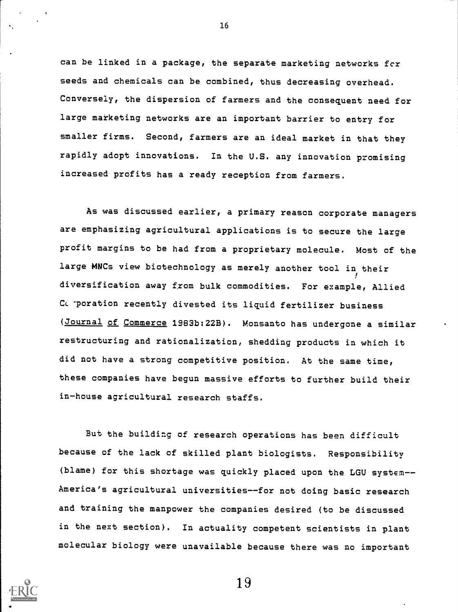can be linked in a package, the separate marketing networks fcr seeds and chemicals can be combined, thus decreasing overhead. Conversely, the dispersion of farmers and the consequent need for large marketing networks are an important barrier to entry for smaller firms. Second, farmers are an ideal market in that they rapidly adopt innovations. In the U.S. any innovation promising increased profits has a ready reception from farmers.

As was discussed earlier, a primary reason corporate managers are emphasizing agricultural applications is to secure the large profit margins to be had from a proprietary molecule. Most of the large MNCs view biotechnology as merely another tool in their ! diversification away from bulk commodities. For example, Allied C. poration recently divested its liquid fertilizer business (Journal of Commerce 1983b:22B). Monsanto has undergone a similar restructuring and rationalization, shedding products in which it did not have a strong competitive position. At the same time, these companies have begun massive efforts to further build their in-house agricultural research staffs.

But the building of research operations has been difficult because of the lack of skilled plant biologists. Responsibility (blame) for this shortage was quickly placed upon the LGU system--America's agricultural universities--for not doing basic research and training the manpower the companies desired (to be discussed in the next section). In actuality competent scientists in plant molecular biology were unavailable because there was no important



16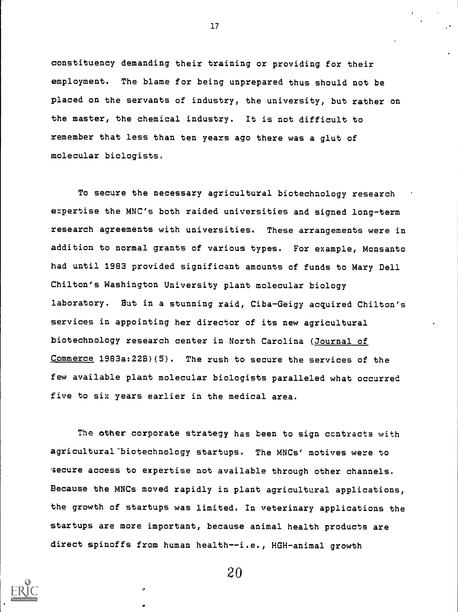constituency demanding their training or providing for their employment. The blame for being unprepared thus should not be placed on the servants of industry, the university, but rather on the master, the chemical industry. It is not difficult to remember that less than ten years ago there was a glut of molecular biologists.

To secure the necessary agricultural biotechnology research expertise the MNC's both raided universities and signed long-term research agreements with universities. These arrangements were in addition to normal grants of various types. For example, Monsanto had until 1983 provided significant amounts of funds to Mary Dell Chilton's Washington University plant molecular biology laboratory. But in a stunning raid, Ciba-Geigy acquired Chilton's services in appointing her director of its new agricultural biotechnology research center in North Carolina (Journal of Commerce 1983a:22B)(5). The rush to secure the services of the few available plant molecular biologists paralleled what occurred five to six years earlier in the medical area.

The other corporate strategy has been to sign contracts with agricultural-biotechnology startups. The MNCs' motives were to secure access to expertise not available through other channels. Because the MNCs moved rapidly in plant agricultural applications, the growth of startups was limited. In veterinary applications the startups are more important, because animal health products are direct spinoffs from human health--i.e., HGH-animal growth



20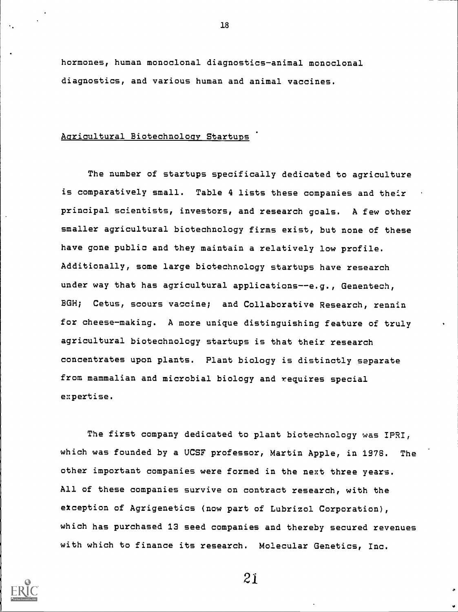hormones, human monoclonal diagnostics-animal monoclonal diagnostics, and various human and animal vaccines.

## Agricultural Biotechnology Startups

The number of startups specifically dedicated to agriculture is comparatively small. Table 4 lists these companies and their principal scientists, investors, and research goals. A few other smaller agricultural biotechnology firms exist, but none of these have gone public and they maintain a relatively low profile. Additionally, some large biotechnology startups have research under way that has agricultural applications--e.g., Genentech, BGH; Cetus, scours vaccine; and Collaborative Research, rennin for cheese-making. A more unique distinguishing feature of truly agricultural biotechnology startups is that their research concentrates upon plants. Plant biology is distinctly separate from mammalian and microbial biology and requires special expertise.

The first company dedicated to plant biotechnology was IPRI, which was founded by a UCSF professor, Martin Apple, in 1975. The other important companies were formed in the next three years. All of these companies survive on contract research, with the exception of Agrigenetics (now part of Lubrizol Corporation), which has purchased 13 seed companies and thereby secured revenues with which to finance its research. Molecular Genetics, Inc.



21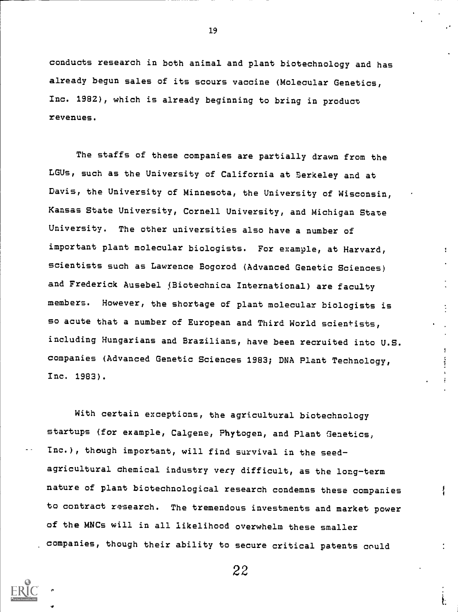conducts research in both animal and plant biotechnology and has already begun sales of its scours vaccine (Molecular Genetics, Inc. 1982), which is already beginning to bring in product revenues.

The staffs of these companies are partially drawn from the LGUs, such as the University of California at Berkeley and at Davis, the University of Minnesota, the University of Wisconsin, Kansas State University, Cornell University, and Michigan State University. The other universities also have a number of important plant molecular biologists. For example, at Harvard, scientists such as Lawrence Bogorod (Advanced Genetic Sciences) and Frederick Ausebel (Biotechnica International) are faculty members. However, the shortage of plant molecular biologists is so acute that a number of European and Third World scientists, including Hungarians and Brazilians, have been recruited into U.S. companies (Advanced Genetic Sciences 1983; DNA Plant Technology, Inc. 1983).

 $\mathbf{I}$ 

With certain exceptions, the agricultural biotechnology startups (for example, Calgene, Phytogen, and Plant Genetics, Inc.), though important, will find survival in the seedagricultural chemical industry very difficult, as the long-term nature of plant biotechnological research condemns these companies to contract research. The tremendous investments and market power of the MNCs will in all likelihood overwhelm these smaller companies, though their ability to secure critical patents could

19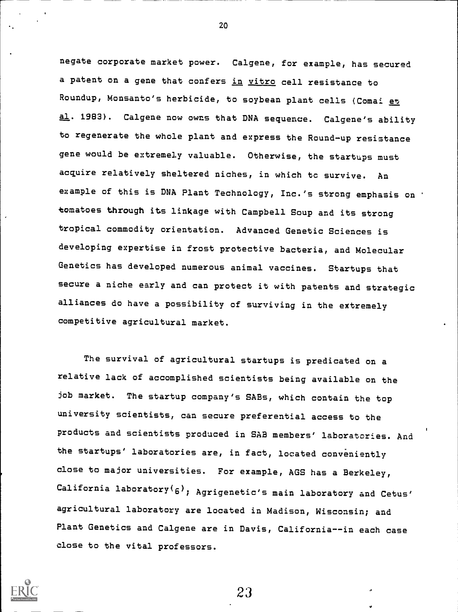negate corporate market power. Calgene, for example, has secured a patent on a gene that confers in vitro cell resistance to Roundup, Monsanto's herbicide, to soybean plant cells (Comai et al. 1983). Calgene now owns that DNA sequence. Calgene's ability to regenerate the whole plant and express the Round-up resistance gene would be extremely valuable. Otherwise, the startups must acquire relatively sheltered niches, in which tc survive. An example of this is DNA Plant Technology, Inc.'s strong emphasis on .tomatoes through its linkage with Campbell Soup and its strong tropical commodity orientation. Advanced Genetic Sciences is developing expertise in frost protective bacteria, and Molecular Genetics has developed numerous animal vaccines. Startups that secure a niche early and can protect it with patents and strategic alliances do have a possibility of surviving in the extremely competitive agricultural market.

The survival of agricultural startups is predicated on a relative lack of accomplished scientists being available on the job market. The startup company's SABs, which contain the top university scientists, can secure preferential access to the products and scientists produced in SAB members' laboratories. And the startups' laboratories are, in fact, located conveniently close to major universities. For example, AGS has a Berkeley, California laboratory $(6)$ ; Agrigenetic's main laboratory and Cetus' agricultural laboratory are located in Madison, Wisconsin; and Plant Genetics and Calgene are in Davis, California--in each case close to the vital professors.



20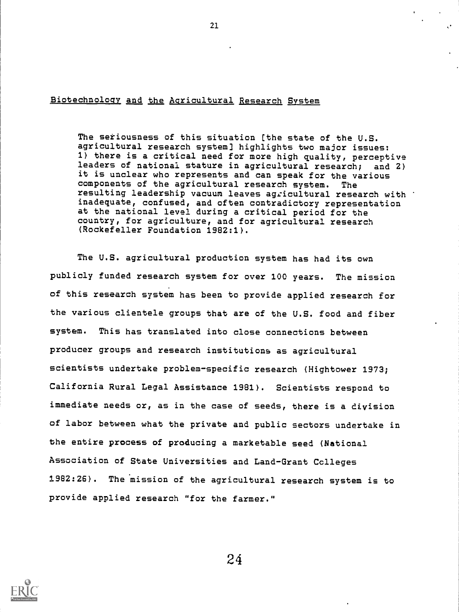## Biotechnology and the Agricultural Research System

The seriousness of this situation (the state of the U.S. agricultural research system] highlights two major issues: 1) there is a critical need for more high quality, perceptive leaders of national stature in agricultural research; and 2) it is unclear who represents and can speak for the various components of the agricultural research system. The resulting leadership vacuum leaves agricultural research with inadequate, confused, and often contradictory representation at the national level during a critical period for the country, for agriculture, and for agricultural research (Rockefeller Foundation 1982:1).

The U.S. agricultural production system has had its own publicly funded research system for over 100 years. The mission of this research system has been to provide applied research for the various clientele groups that are of the U.S. food and fiber system. This has translated into close connections between producer groups and research institutions as agricultural scientists undertake problem-specific research (Hightower 1973; California Rural Legal Assistance 1981). Scientists respond to immediate needs or, as in the case of seeds, there is a division of labor between what the private and public sectors undertake in the entire process of producing a marketable seed (National Association of State Universities and Land-Grant Colleges 1982:26). The 'mission of the agricultural research system is to provide applied research "for the farmer."

24

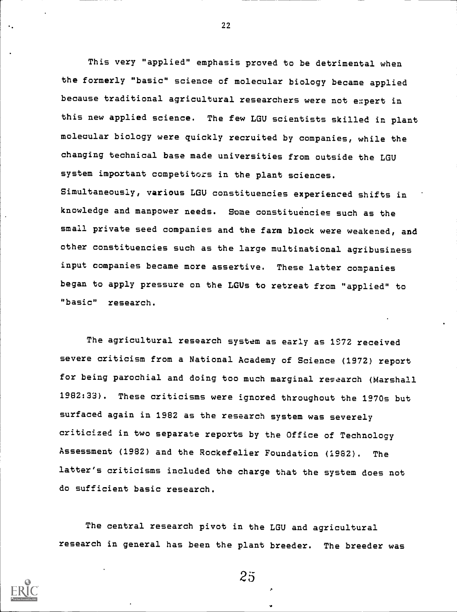This very "applied" emphasis proved to be detrimental when the formerly "basic" science of molecular biology became applied because traditional agricultural researchers were not e::pert in this new applied science. The few LGU scientists skilled in plant molecular biology were quickly recruited by companies, while the changing technical base made universities from outside the LGU system important competitors in the plant sciences. Simultaneously, various LOU constituencies experienced shifts in knowledge and manpower needs. Some constituencies such as the small private seed companies and the farm block were weakened, and other constituencies such as the large multinational agribusiness input companies became more assertive. These latter companies began to apply pressure on the LGUs to retreat from "applied" to "basic" research.

The agricultural research system as early as 1972 received severe criticism from a National Academy of Science (1972) report for being parochial and doing too much marginal research (Marshall 1982:33). These criticisms were ignored throughout the 1970s but surfaced again in 1982 as the research system was severely criticized in two separate reports by the Office of Technology Assessment (1982) and the Rockefeller Foundation (1982). The latter's criticisms included the charge that the system does not do sufficient basic research.

The central research pivot in the LGU and agricultural research in general has been the plant breeder. The breeder was



22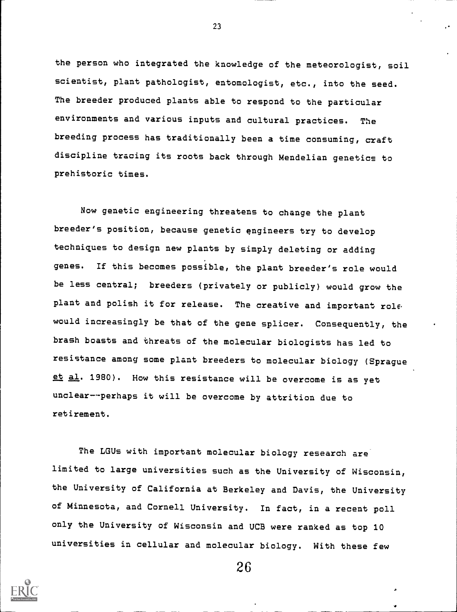the person who integrated the knowledge of the meteorologist, soil scientist, plant pathologist, entomologist, etc., into the seed. The breeder produced plants able to respond to the particular environments and various inputs and cultural practices. The breeding process has traditionally been a time consuming, craft discipline tracing its roots back through Mendelian genetics to prehistoric times.

Now genetic engineering threatens to change the plant breeder's position, because genetic engineers try to develop techniques to design new plants by simply deleting or adding genes. If this becomes possible, the plant breeder's role would be less central; breeders (privately or publicly) would grow the plant and polish it for release. The creative and important role would increasingly be that of the gene splicer. Consequently, the brash boasts and threats of the molecular biologists has led to resistance among some plant breeders to molecular biology (Sprague et al. 1980). How this resistance will be overcome is as yet unclear---perhaps it will be overcome by attrition due to retirement.

The LGUs with important molecular biology research are limited to large universities such as the University of Wisconsin, the University of California at Berkeley and Davis, the University of Minnesota, and Cornell University. In fact, in a recent poll only the University of Wisconsin and UCB were ranked as top 10 universities in cellular and molecular biology. With these few



26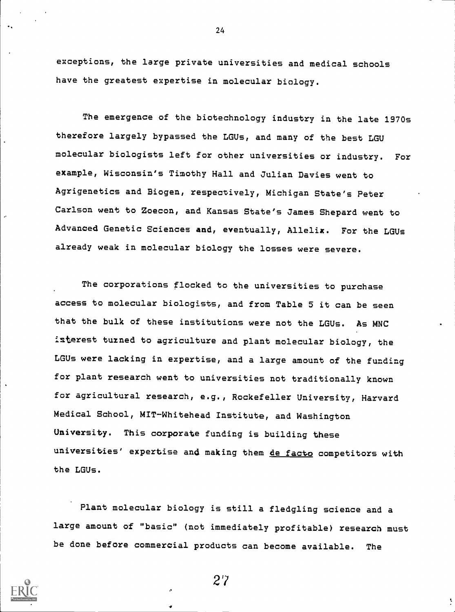exceptions, the large private universities and medical schools have the greatest expertise in molecular biology.

24

The emergence of the biotechnology industry in the late 1970s therefore largely bypassed the LGUs, and many of the best LGU molecular biologists left for other universities or industry. For example, Wisconsin's Timothy Hall and Julian Davies went to Agrigenetics and Biogen, respectively, Michigan State's Peter Carlson went to Zoecon, and Kansas State's James Shepard went to Advanced Genetic Sciences and, eventually, Allelix. For the LGUs already weak in molecular biology the losses were severe.

The corporations flocked to the universities to purchase access to molecular biologists, and from Table 5 it can be seen that the bulk of these institutions were not the LGUs. As MNC isterest turned to agriculture and plant molecular biology, the LGUs were lacking in expertise, and a large amount of the funding for plant research went to universities not traditionally known for agricultural research, e.g., Rockefeller University, Harvard Medical School, MIT-Whitehead Institute, and Washington University. This corporate funding is building these universities' expertise and making them de facto competitors with the LGUs.

Plant molecular biology is still a fledgling science and a large amount of "basic" (not immediately profitable) research must be done before commercial products can become available. The

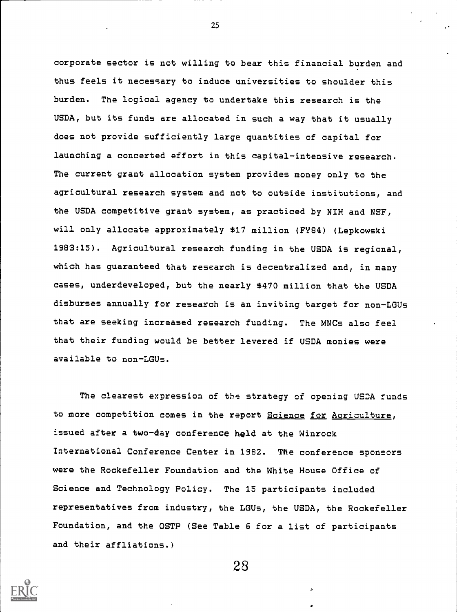corporate sector is not willing to bear this financial burden and thus feels it necessary to induce universities to shoulder this burden. The logical agency to undertake this research is the USDA, but its funds are allocated in such a way that it usually does not provide sufficiently large quantities of capital for launching a concerted effort in this capital-intensive research. The current grant allocation system provides money only to the agricultural research system and not to outside institutions, and the USDA competitive grant system, as practiced by NIH and NSF, will only allocate approximately \$17 million (FY84) (Lepkowski 1983:15). Agricultural research funding in the USDA is regional, which has guaranteed that research is decentralized and, in many cases, underdeveloped, but the nearly \$470 million that the USDA disburses annually for research is an inviting target for non-LGUs that are seeking increased research funding. The MNCs also feel that their funding would be better levered if USDA monies were available to non-LGUs.

The clearest expression of the strategy of opening USDA funds to more competition comes in the report Science for Agriculture, issued after a two-day conference held at the Winrock International Conference Center in 1982. The conference sponsors were the Rockefeller Foundation and the White House Office of Science and Technology Policy. The 15 participants included representatives from industry, the LGUs, the USDA, the Rockefeller Foundation, and the OSTP (See Table 6 for a list of participants and their affliations.)

28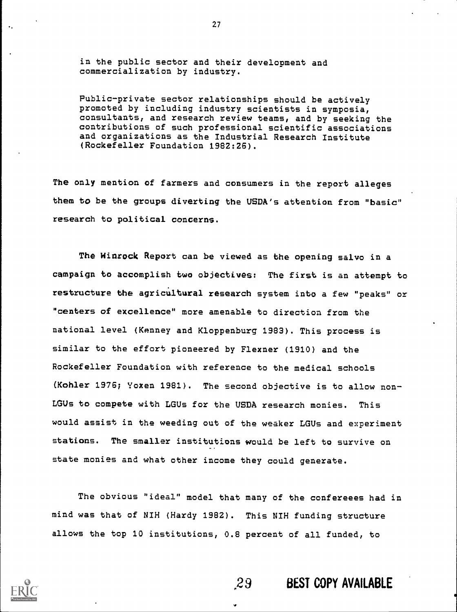in the public sector and their development and commercialization by industry.

Public-private sector relationships should be actively promoted by including industry scientists in symposia, consultants, and research review teams, and by seeking the contributions of such professional scientific associations and organizations as the Industrial Research Institute (Rockefeller Foundation 1982:26).

The only mention of farmers and consumers in the report alleges them to be the groups diverting the USDA's attention from "basic" research to political concerns.

The Hinrock Report can be viewed as the opening salvo in a campaign to accomplish two objectives: The first is an attempt to restructure the agricultural research system into a few "peaks" or "centers of excellence" more amenable to direction from the national level (Kenney and Kloppenburg 1983). This process is similar to the effort pioneered by Flexner (1910) and the Rockefeller Foundation with reference to the medical schools (Kohler 1976; Yoxen 1981). The second objective is to allow non-LGUs to compete with LGUs for the USDA research monies. This would assist in the weeding out of the weaker LGUs and experiment stations. The smaller institutions would be left to survive on state monies and what other income they could generate.

The obvious "ideal" model that many of the confereees had in mind was that of NIH (Hardy 1982). This NIH funding structure allows the top 10 institutions, 0.8 percent of all funded, to



## 29 BEST COPY AVAILABLE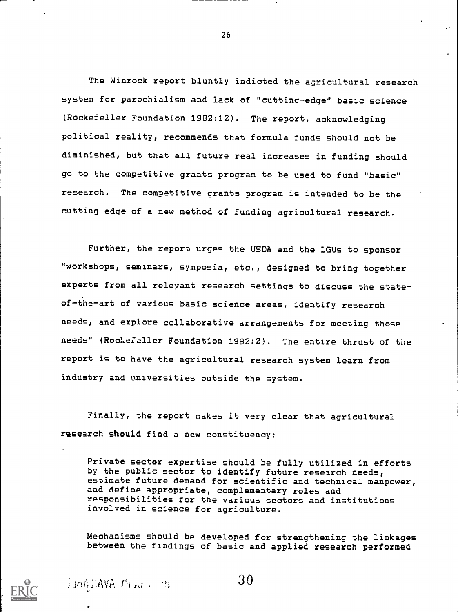The Winrock report bluntly indicted the agricultural research system for parochialism and lack of "cutting-edge" basic science (Rockefeller Foundation 1982:12). The report, acknowledging political reality, recommends that formula funds should not be diminished, but that all future real increases in funding should go to the competitive grants program to be used to fund "basic" research. The competitive grants program is intended to be the cutting edge of a new method of funding agricultural research.

Further, the report urges the USDA and the LGUs to sponsor "workshops, seminars, symposia, etc., designed to bring together experts from all relevant research settings to discuss the stateof-the-art of various basic science areas, identify research needs, and explore collaborative arrangements for meeting those needs" (Rochefeller Foundation 1982:2). The entire thrust of the report is to have the agricultural research system learn from industry and universities outside the system.

Finally, the report makes it very clear that agricultural research should find a new constituency:

Private sector expertise should be fully utilized in efforts by the public sector to identify future research needs, estimate future demand for scientific and technical manpower, and define appropriate, complementary roles and responsibilities for the various sectors and institutions involved in science for agriculture.

Mechanisms should be developed for strengthening the linkages between the findings of basic and applied research performed



SIMAJIAVA PEAU (1991)

30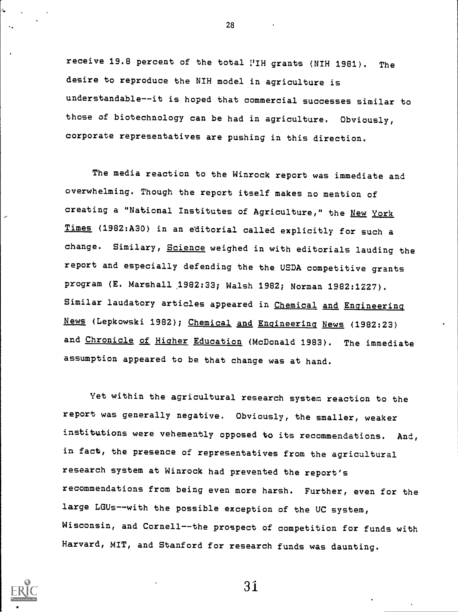receive 19.8 percent of the total i'IH grants (NIH 1981). The desire to reproduce the NIH model in agriculture is understandable--it is hoped that commercial successes similar to those of biotechnology can be had in agriculture. Obviously, corporate representatives are pushing in this direction.

The media reaction to the Winrock report was immediate and overwhelming. Though the report itself makes no mention of creating a "National Institutes of Agriculture," the New York Times (1982:A30) in an editorial called explicitly for such <sup>a</sup> change. Similary, Science weighed in with editorials lauding the report and especially defending the the USDA competitive grants program (E. Marshall .1982:33; Walsh 1982; Norman 1982:1227). Similar laudatory articles appeared in Chemical and Engineering News (Lepkowski 1982); Chemical and Engineering News (1982:23) and Chronicle of Higher Education (McDonald 1983). The immediate assumption appeared to be that change was at hand.

Yet within the agricultural research system reaction to the report was generally negative. Obviously, the smaller, weaker institutions were vehemently opposed to its recommendations. And, in fact, the presence of representatives from the agricultural research system at Winrock had prevented the report's recommendations from being even more harsh. Further, even for the large LGUs--with the possible exception of the UC system, Wisconsin, and Cornell--the prospect of competition for funds with Harvard, MIT, and Stanford for research funds was daunting.



3i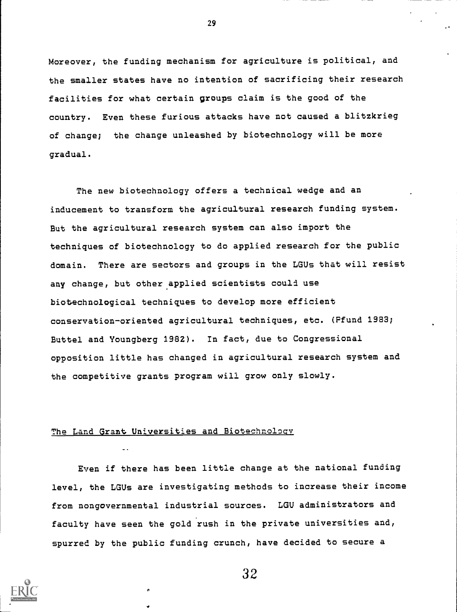Moreover, the funding mechanism for agriculture is political, and the smaller states have no intention of sacrificing their research facilities for what certain groups claim is the good of the country. Even these furious attacks have not caused a blitzkrieg of change; the change unleashed by biotechnology will be more gradual.

The new biotechnology offers a technical wedge and an inducement to transform the agricultural research funding system. But the agricultural research system can also import the techniques of biotechnology to do applied research for the public domain. There are sectors and groups in the LGUs that will resist any change, but other applied scientists could use biotechnological techniques to develop more efficient conservation-oriented agricultural techniques, etc. (Pfund 1983; Buttel and Youngberg 1982). In fact, due to Congressional opposition little has changed in agricultural research system and the competitive grants program will grow only slowly.

## The Land Grant Universities and Biotechnology

Even if there has been little change at the national funding level, the LGUs are investigating methods to increase their income from nongovernmental industrial sources. LOU administrators and faculty have seen the gold rush in the private universities and, spurred by the public funding crunch, have decided to secure a



32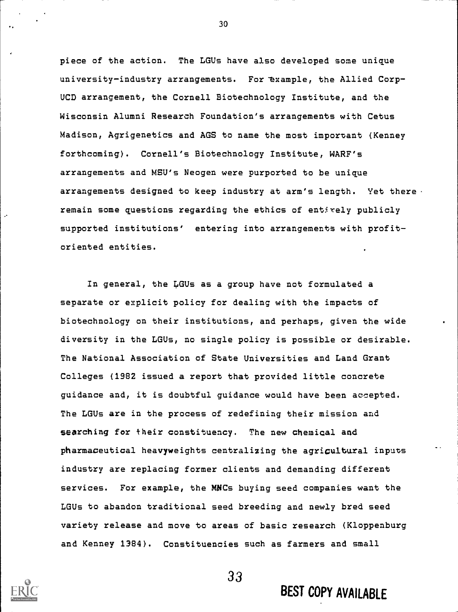piece of the action. The LGUs have also developed some unique university-industry arrangements. For example, the Allied Corp-UCD arrangement, the Cornell Biotechnology Institute, and the Wisconsin Alumni Research Foundation's arrangements with Cetus Madison, Agrigenetics and AGS to name the most important (Kenney forthcoming). Cornell's Biotechnology Institute, WARF's arrangements and MSU's Neogen were purported to be unique arrangements designed to keep industry at arm's length. Yet there remain some questions regarding the ethics of entirely publicly supported institutions' entering into arrangements with profitoriented entities.

In general, the LGUs as a group have not formulated a separate or explicit policy for dealing with the impacts of biotechnology on their institutions, and perhaps, given the wide diversity in the LGUs, no single policy is possible or desirable. The National Association of State Universities and Land Grant Colleges (1982 issued a report that provided little concrete guidance and, it is doubtful guidance would have been accepted. The LGUs are in the process of redefining their mission and searching for their constituency. The new chemical and pharmaceutical heavyweights centralizing the agricultural inputs industry are replacing former clients and demanding different services. For example, the MNCs buying seed companies want the LGUs to abandon traditional seed breeding and newly bred seed variety release and move to areas of basic research (Kloppenburg and Kenney 1384). Constituencies such as farmers and small

33



BEST COPY AVAILABLE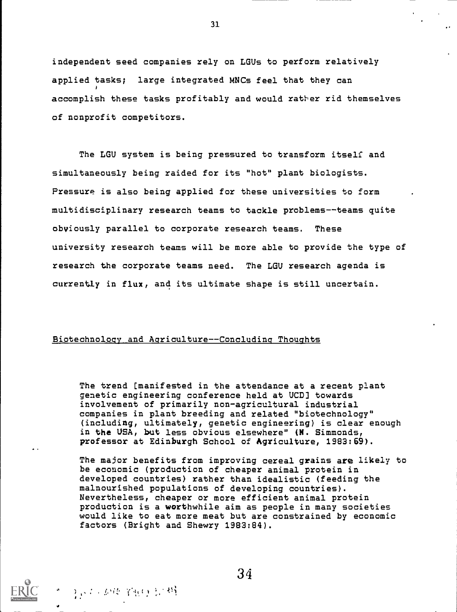independent seed companies rely on LGUs to perform relatively applied tasks; large integrated MNCs feel that they can accomplish these tasks profitably and would rather rid themselves of nonprofit competitors.

The LGU system is being pressured to transform itself and simultaneously being raided for its "hot" plant biologists. Pressure is also being applied for these universities to form multidisciplinary research teams to tackle problems--teams quite obviously parallel to corporate research teams. These university research teams will be more able to provide the type of research the corporate teams need. The LGU research agenda is currently in flux, and its ultimate shape is still uncertain.

#### Biotechnology and Agriculture--Concluding Thoughts

" ) ; . . . . . . . . . . . . . 49

The trend [manifested in the attendance at a recent plant genetic engineering conference held at UCD] towards involvement of primarily non-agricultural industrial companies in plant breeding and related "biotechnology" (including, ultimately, genetic engineering) is clear enough in the USA, but less obvious elsewhere" (N. Simmonds, professor at Edinburgh School of Agriculture, 1983:69).

The major benefits from improving cereal grains are likely to be economic (production of cheaper animal protein in developed countries) rather than idealistic (feeding the malnourished populations of developing countries). Nevertheless, cheaper or more efficient animal protein production is a worthwhile aim as people in many societies would like to eat more meat but are constrained by economic factors (Bright and Shewry 1983:84).

34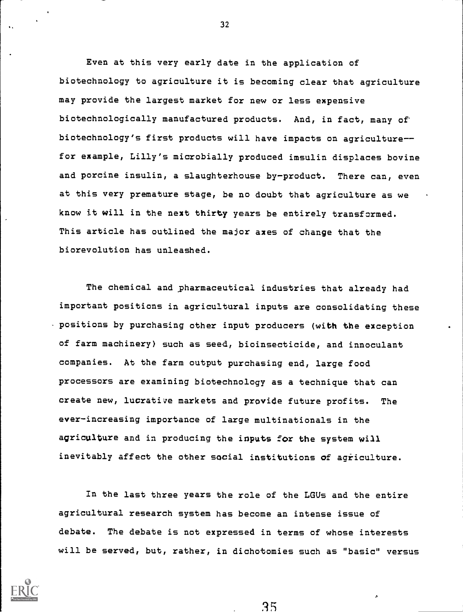Even at this very early date in the application of biotechnology to agriculture it is becoming clear that agriculture may provide the largest market for new or less expensive biotechnologically manufactured products. And, in fact, many of biotechnology's first products will have impacts on agriculturefor example, Lilly's microbially produced imsulin displaces bovine and porcine insulin, a slaughterhouse by-product. There can, even at this very premature stage, be no doubt that agriculture as we know it will in the next thirty years be entirely transformed. This article has outlined the major axes of change that the biorevolution has unleashed.

The chemical and pharmaceutical industries that already had important positions in agricultural inputs are consolidating these positions by purchasing other input producers (with the exception of farm machinery) such as seed, bioinsecticide, and innoculant companies. At the farm output purchasing end, large food processors are examining biotechnology as a technique that can create new, lucrative markets and provide future profits. The ever-increasing importance of large multinationals in the agriculture and in producing the inputs for the system will inevitably affect the other social institutions of agriculture.

In the last three years the role of the LGUs and the entire agricultural research system has become an intense issue of debate. The debate is not expressed in terms of whose interests will be served, but, rather, in dichotomies such as "basic" versus

35

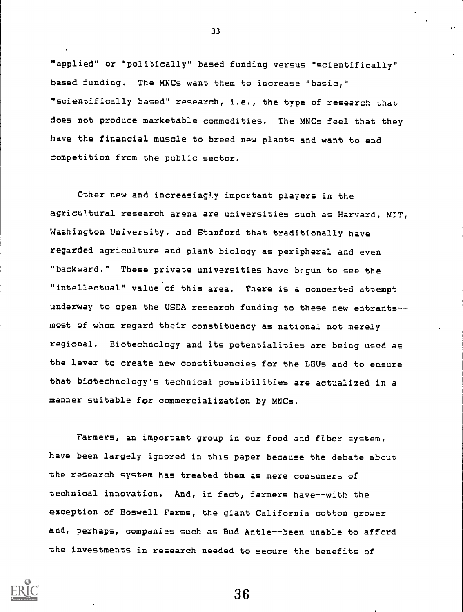"applied" or "politically" based funding versus "scientifically" based funding. The MNCs want them to increase "basic," "scientifically based" research, i.e., the type of research that does not produce marketable commodities. The MNCs feel that they have the financial muscle to breed new plants and want to end competition from the public sector.

Other new and increasingly important players in the agricul.tural research arena are universities such as Harvard, MIT, Washington University, and Stanford that traditionally have regarded agriculture and plant biology as peripheral and even "backward." These private universities have begun to see the "intellectual" value of this area. There is a concerted attempt underway to open the USDA research funding to these new entrantsmost of whom regard their constituency as national not merely regional. Biotechnology and its potentialities are being used as the lever to create new constituencies for the LGUs and to ensure that biotechnology's technical possibilities are actualized in a manner suitable for commercialization by MNCs.

Farmers, an important group in our food and fiber system, have been largely ignored in this paper because the debate about the research system has treated them as mere consumers of technical innovation. And, in fact, farmers have--with the exception of Boswell Farms, the giant California cotton grower and, perhaps, companies such as Bud Antle--Seen unable to afford the investments in research needed to secure the benefits of



33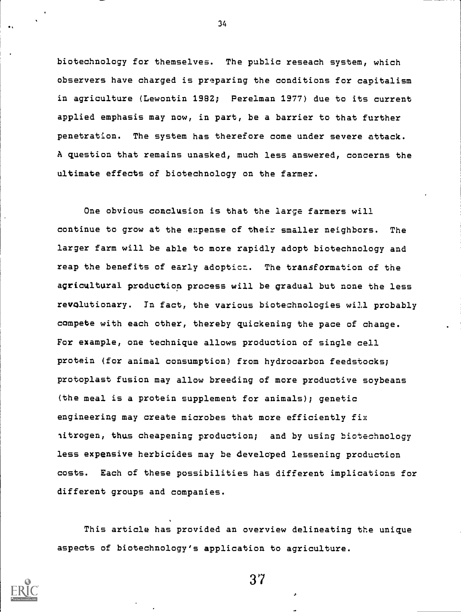biotechnology for themselves. The public reseach system, which observers have charged is preparing the conditions for capitalism in agriculture (Lewontin 1982; Perelman 1977) due to its current applied emphasis may now, in part, be a barrier to that further penetration. The system has therefore come under severe attack. A question that remains unasked, much less answered, concerns the ultimate effects of biotechnology on the farmer.

34

One obvious conclusion is that the large farmers will continue to grow at the expense of their smaller neighbors. The larger farm will be able to more rapidly adopt biotechnology and reap the benefits of early adoptioz. The transformation of the agricultural production process will be gradual but none the less revolutionary. In fact, the various biotechnologies will probably compete with each other, thereby quickening the pace of change. For example, one technique allows production of single cell protein (for animal consumption) from hydrocarbon feedstocks; protoplast fusion may allow breeding of more productive soybeans (the meal is a protein supplement for animals); genetic engineering may create microbes that more efficiently fix nitrogen, thus cheapening production; and by using biotechnology less expensive herbicides may be developed lessening production costs. Each of these possibilities has different implications for different groups and companies.

This article has provided an overview delineating the unique aspects of biotechnology's application to agriculture.

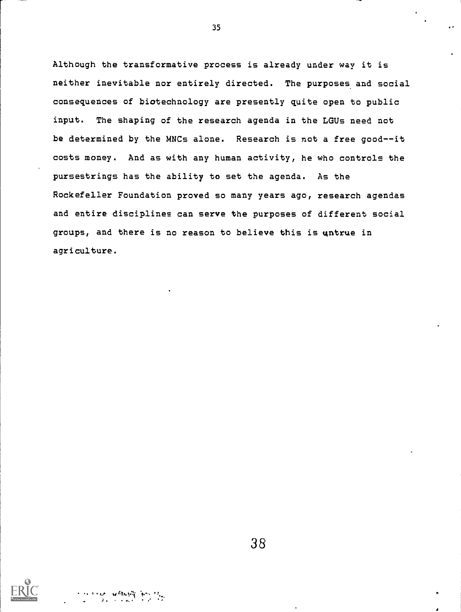Although the transformative process is already under way it is neither inevitable nor entirely directed. The purposes and social consequences of biotechnology are presently quite open to public input. The shaping of the research agenda in the LGUs need not be determined by the MNCs alone. Research is not a free good--it costs money. And as with any human activity, he who controls the pursestrings has the ability to set the agenda. As the Rockefeller Foundation proved so many years ago, research agendas and entire disciplines can serve the purposes of different social groups, and there is no reason to believe this is untrue in agriculture.

35

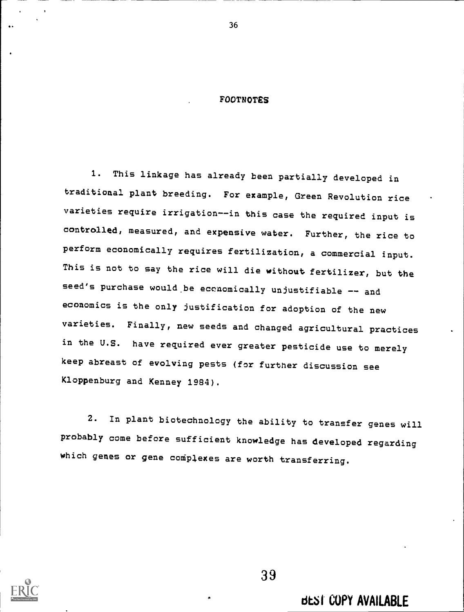## FOOTNOTES

1. This linkage has already been partially developed in traditional plant breeding. For example, Green Revolution rice varieties require irrigation--in this case the required input is controlled, measured, and expensive water. Further, the rice to perform economically requires fertilization, a commercial input. This is not to say the rice will die without fertilizer, but the seed's purchase would be economically unjustifiable -- and economics is the only justification for adoption of the new varieties. Finally, new seeds and changed agricultural practices in the U.S. have required ever greater pesticide use to merely keep abreast of evolving pests (for further discussion see Kloppenburg and Kenney 1984).

2. In plant biotechnology the ability to transfer genes will probably come before sufficient knowledge has developed regarding which genes or gene complexes are worth transferring.



39

. &SI COPY AVAILABLE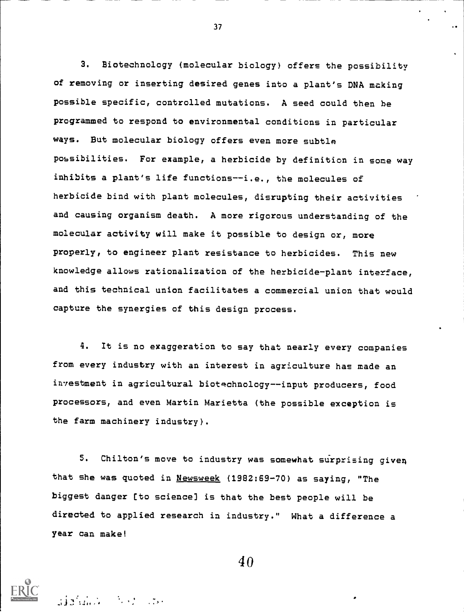3. Biotechnology (molecular biology) offers the possibility of removing or inserting desired genes into a plant's DNA making possible specific, controlled mutations. A seed could then be programmed to respond to environmental conditions in particular ways. But molecular biology offers even more subtle possibilities. For example, a herbicide by definition in some way inhibits a plant's life functions--i.e., the molecules of herbicide bind with plant molecules, disrupting their activities and causing organism death. A more rigorous understanding of the molecular activity will make it possible to design or, more properly, to engineer plant resistance to herbicides. This new knowledge allows rationalization of the herbicide-plant interface, and this technical union facilitates a commercial union that would capture the synergies of this design process.

4. It is no exaggeration to say that nearly every companies from every industry with an interest in agriculture has made an investment in agricultural biotechnology--input producers, food processors, and even Martin Marietta (the possible exception is the farm machinery industry).

5. Chilton's move to industry was somewhat surprising given that she was quoted in Newsweek (1982:69-70) as saying, "The biggest danger [to science] is that the best people will be directed to applied research in industry." What a difference a year can make!

37

 $\mathcal{A}$  . The absolute a state  $\mathcal{A}$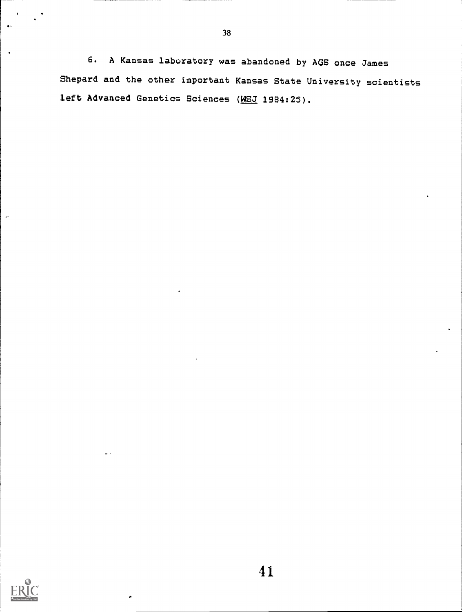6. A Kansas laboratory was abandoned by AGS once James Shepard and the other important Kansas State University scientists left Advanced Genetics Sciences (WSJ 1984:25).

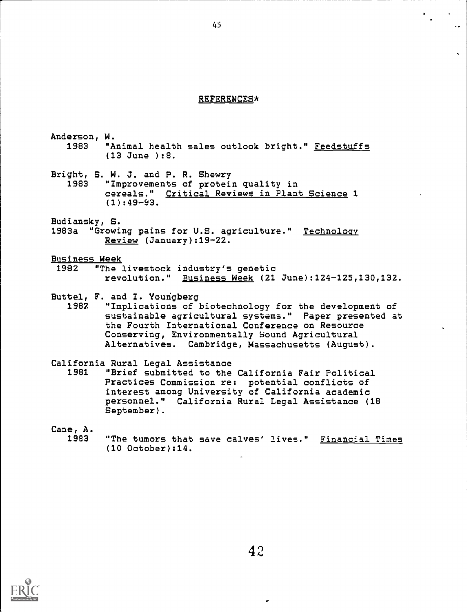## REFERENCES\*

Anderson, W. 1983 "Animal health sales outlook bright." Feedstuffs (13 June ):8.

Bright, S. W. J. and P. R. Shewry 1983 "Improvements of protein quality in cereals." Critical Reviews in Plant Science 1 (1):49-93.

Budiansky, S.

1983a "Growing pains for U.S. agriculture." Technology Review (January):19-22.

Business Week

1982 "The livestock industry's genetic revolution." Business Week (21 June):124-125,130,132.

Buttel, F. and I. Youngberg

1982 "Implications of biotechnology for the development of sustainable agricultural systems." Paper presented at the Fourth International Conference on Resource Conserving, Environmentally Sound Agricultural Alternatives. Cambridge, Massachusetts (August).

California Rural Legal Assistance

"Brief submitted to the California Fair Political Practices Commission re: potential conflicts of interest among University of California academic personnel." California Rural Legal Assistance (18 September).

Cane, A.

1983 "The tumors that save calves' lives." Financial Time (10 October):14.

 $\mathbf{r}$ 

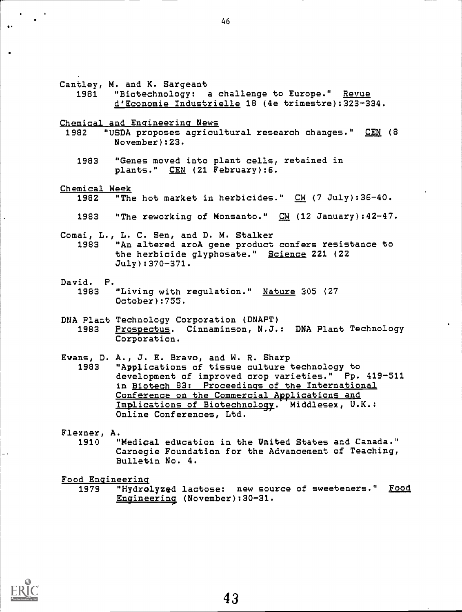Cantley, M. and K. Sargeant 1981 "Biotechnology: a challenge to Europe." Revue d'Economie Industrielle 18 (4e trimestre):323-334. Chemical and Engineering News 1982 "USDA proposes agricultural research changes." CEN (8 November):23. 1983 "Genes moved into plant cells, retained in plants." CEN (21 February):6. Chemical Week<br>1982 "The "The hot market in herbicides." CM (7 July):36-40. 1983 "The reworking of Monsanto." CW (12 January):42-47. Comai, L., L. C. Sen, and D. M. Stalker 1983 "An altered aroA gene product confers resistance to the herbicide glyphosate." Science 221 (22 July):370-371. David. P. "Living with regulation." Nature 305 (27 October):755. DNA Plant Technology Corporation (DNAPT) Prospectus. Cinnaminson, N.J.: DNA Plant Technology Corporation. Evans, D. A., J. E. Bravo, and W. R. Sharp "Applications of tissue culture technology to development of improved crop varieties." Pp. 419-511 in Biotech 83: Proceedings of the International Conference on the Commercial Applications and Implications of Biotechnology. Middlesex, U.K.: Online Conferences, Ltd. **Flexner, A.**<br>1910 " "Medical education in the United States and Canada." Carnegie Foundation for the Advancement of Teaching, Bulletin No. 4.

Food Engineering

"Hydrolyzed lactose: new source of sweeteners." Food Engineering (November):30-31.

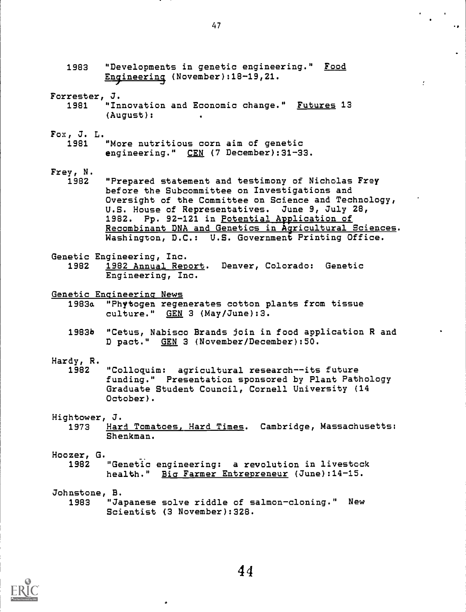- 1983 "Developments in genetic engineering." Food Engineering (November):18-19,21.
- Forrester, J. **Innovation and Economic change." Futures 13** (August): .
- Fox, J. L.
	- "More nutritious corn aim of genetic engineering." CEN (7 December):31-33.
- $r = r$ , N.<br>1982
	- "Prepared statement and testimony of Nicholas Frey before the Subcommittee on Investigations and Oversight of the Committee on Science and Technology, U.S. House of Representatives. June 9, July 28, 1982. Pp. 92-121 in Potential Application of Recombinant DNA and Genetics in Agricultural Sciences. Washington, D.C.: U.S. Government Printing Office.
- Genetic Engineering, Inc.<br>1982 1982 Annual Rep
- 1982 1982 Annual Report. Denver, Colorado: Genetic Engineering, Inc.
- Genetic Engineering News
	- 1983a "Phytogen regenerates cotton plants from tissue culture." GEN 3 (May/June):3.
	- 1983b "Cetus, Nabisco Brands join in food application R and D pact." GEN 3 (November/December):50.
- Hardy, R.
	- "Colloquim: agricultural research--its future funding." Presentation sponsored by Plant Pathology Graduate Student Council, Cornell University (14 October).
- Hightower, J.
	- 1973 Hard Tomatoes, Hard Times. Cambridge, Massachusetts: Shenkman.
- Hoozer, G.
	- 1982 "Genetic engineering: a revolution in livestock health." Bia Farmer Entrepreneur (June):14-15.
- Johnstone, B.
	- 1983 "Japanese solve riddle of salmon-cloning." New Scientist (3 November):328.

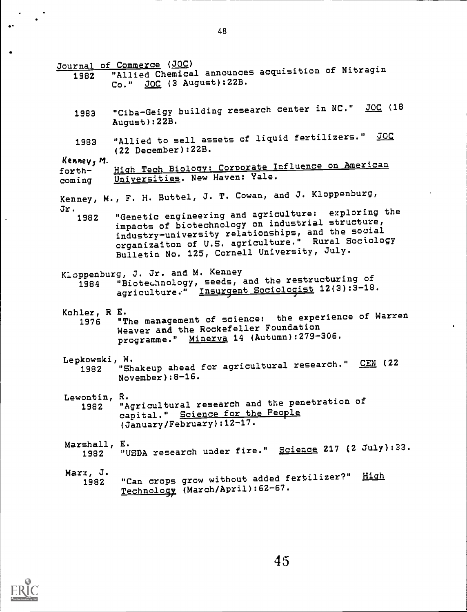Journal of Commerce (JOC) <sup>1982</sup> "Allied Chemical announces acquisition of Nitragin Co." JOC (3 August):22B. 1983 "Ciba-Geigy building research center in NC." JOC (18 August):22B. 1983 "Allied to sell assets of liquid fertilizers." JOC (22 December):22B. Kenney, M. forth- High Tech Biology: Corporate Influence on American<br>coming Universities. New Haven: Yale. Universities. New Haven: Yale. Kenney, M., F. H. Buttel, J. T. Cowan, and J. Kloppenburg,  $Jr.$  1982 "Genetic engineering and agriculture: exploring the impacts of biotechnology on industrial structure, industry-university relationships, and the social organizaiton of U.S. agriculture." Rural Sociology Bulletin No. 125, Cornell University, July. Kloppenburg, J. Jr. and M. Kenney <sup>1984</sup> "Biotechnology, seeds, and the restructuring of agriculture:" Insurgent Sociologist 12(3):3-18. Kohler, R E. <sup>1976</sup> "The management of science: the experience of Warren Weaver and the Rockefeller Foundation programme." Minerva 14 (Autumn): 279-306. Lepkowski, W.<br>1982 "Sh "Shakeup ahead for agricultural research." CEN (22 November):8-16. Lewontin, R. <sup>1982</sup> "Agricultural research and the penetration of capital." Science for the People (January/February):12-17. **Marshall, E.<br>1982 "U** "USDA research under fire." Science 217 (2 July):33. Marx, J. "Can crops grow without added fertilizer?" High Technology (March/April):62-67.

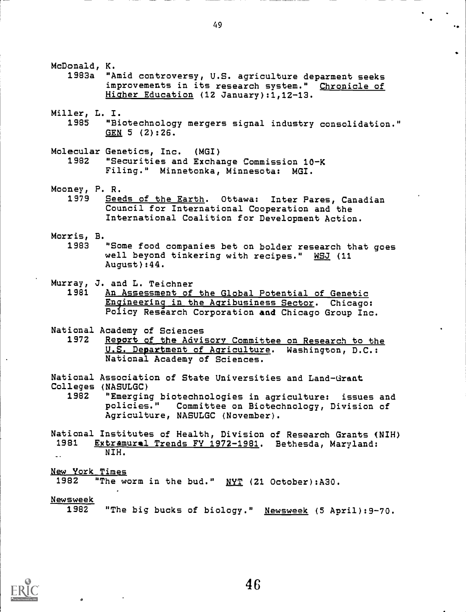49

McDonald, K.

1983a "Amid controversy, U.S. agriculture deparment seeks improvements in its research system." Chronicle of Higher Education (12 January):1,12-13.

- Miller, L. I.
	- 1985 "Biotechnology mergers signal industry consolidation." GEN 5 (2):26.
- Molecular Genetics, Inc. (MGI) 1982 "Securities and Exchange Commission 10-K Filing." Minnetonka, Minnesota: MGI.
- Mooney, P. R.
	- Seeds of the Earth. Ottawa: Inter Pares, Canadian Council for International Cooperation and the International Coalition for Development Action.
- Morris, B.
	- "Some food companies bet on bolder research that goes well beyond tinkering with recipes." WSJ (11 August):44.
- Murray, J. and L. Teichner
	- An Assessment of the Global Potential of Genetic Engineering in the Agribusiness Sector. Chicago: Policy Research Corporation and Chicago Group Inc.
- National Academy of Sciences<br>1972 Report of the Advi
- Report of the Advisory Committee on Research to the U.S. Department of Agriculture. Washington, D.C.: National Academy of Sciences.

National Association of State Universities and Land-Grant Colleges (NASULGC)

1982 "Emerging biotechnologies in agriculture: issues and policies." Committee on Biotechnology, Division of Agriculture, NASULGC (November).

National Institutes of Health, Division of Research Grants (NIH)<br>1981 Extramural Trends FY 1972-1981, Bethesda, Marvland: Extramural Trends FY 1972-1981. Bethesda, Maryland: NIH.

New York Times

"The worm in the bud." NYT (21 October):A30.

Newsweek

"The big bucks of biology." Newsweek (5 April): 9-70.

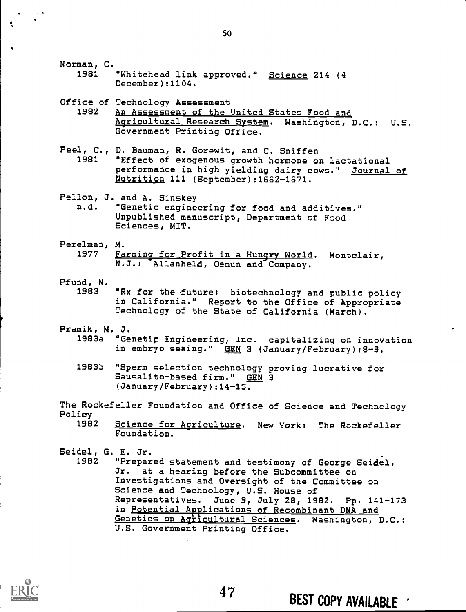Norman, C.

1981 "Whitehead link approved." Science 214 (4 December):1104.

Office of Technology Assessment<br>1982 An Assessment of the 1

- An Assessment of the United States Food and Agricultural Research System. Washington, D.C.: U.S. Government Printing Office.
- Peel, C., D. Bauman, R. Gorewit, and C. Sniffen<br>1981 TEffect of exogenous growth hormone of "Effect of exogenous growth hormone on lactational performance in high yielding dairy cows." Journal of Nutrition 111 (September):1662-1671.

Pellon, J. and A. Sinskey<br>n.d. "Genetic engine

- "Genetic engineering for food and additives." Unpublished manuscript, Department of Food Sciences, MIT.
- Perelman, M.<br>1977 Fa Farming for Profit in a Hungry World. Montclair, N.J.: Allanheld, Osmun and Company.
- Pfund, N.
	- "Rx for the future: biotechnology and public policy in California." Report to the Office of Appropriate Technology of the State of California (March).
- Pramik, M. J.
	- "Genetic Engineering, Inc. capitalizing on innovation in embryo sexing." GEN 3 (January/February):8-9.
	- 1983b "Sperm selection technology proving lucrative for Sausalito-based firm." GEN 3 (January/February):14-15.

The Rockefeller Foundation and Office of Science and Technology Policy

Science for Agriculture. New York: The Rockefeller Foundation.

Seidel, G. E. Jr.

"Prepared statement and testimony of George Seidel, Jr. at a hearing before the Subcommittee on Investigations and Oversight of the Committee on Science and Technology, U.S. House of Representatives. June 9, July 28, 1982. Pp. 141-173 in Potential Applications of Recombinant DNA and Genetics on Agricultural Sciences. Washington, D.C.: U.S. Government Printing Office.

47



# BEST COPY AVAILABLE